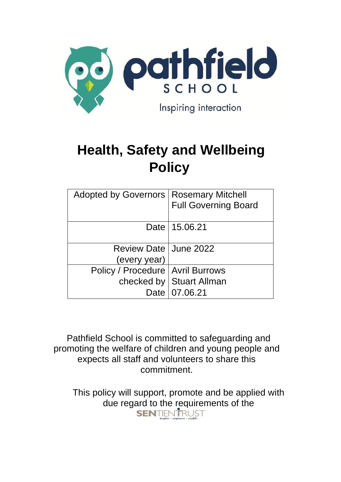

# **Health, Safety and Wellbeing Policy**

| Adopted by Governors   Rosemary Mitchell | <b>Full Governing Board</b> |
|------------------------------------------|-----------------------------|
|                                          | Date   15.06.21             |
| Review Date   June 2022                  |                             |
| (every year)                             |                             |
| Policy / Procedure   Avril Burrows       |                             |
|                                          | checked by   Stuart Allman  |
|                                          | Date   07.06.21             |

Pathfield School is committed to safeguarding and promoting the welfare of children and young people and expects all staff and volunteers to share this commitment.

This policy will support, promote and be applied with due regard to the requirements of the<br>
SENTIENTRUST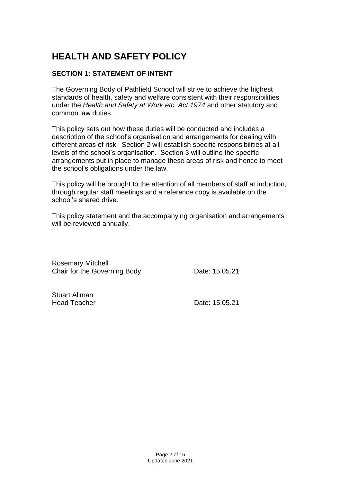# **HEALTH AND SAFETY POLICY**

# **SECTION 1: STATEMENT OF INTENT**

The Governing Body of Pathfield School will strive to achieve the highest standards of health, safety and welfare consistent with their responsibilities under the *Health and Safety at Work etc. Act 1974* and other statutory and common law duties.

This policy sets out how these duties will be conducted and includes a description of the school's organisation and arrangements for dealing with different areas of risk. Section 2 will establish specific responsibilities at all levels of the school's organisation. Section 3 will outline the specific arrangements put in place to manage these areas of risk and hence to meet the school's obligations under the law.

This policy will be brought to the attention of all members of staff at induction, through regular staff meetings and a reference copy is available on the school's shared drive.

This policy statement and the accompanying organisation and arrangements will be reviewed annually.

Rosemary Mitchell Chair for the Governing Body Date: 15.05.21

Stuart Allman

Head Teacher **Date: 15.05.21**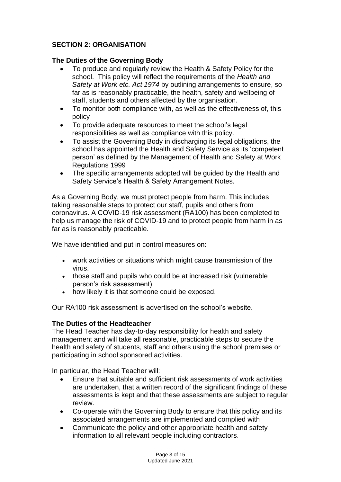# **SECTION 2: ORGANISATION**

# **The Duties of the Governing Body**

- To produce and regularly review the Health & Safety Policy for the school. This policy will reflect the requirements of the *Health and Safety at Work etc. Act 1974* by outlining arrangements to ensure, so far as is reasonably practicable, the health, safety and wellbeing of staff, students and others affected by the organisation.
- To monitor both compliance with, as well as the effectiveness of, this policy
- To provide adequate resources to meet the school's legal responsibilities as well as compliance with this policy.
- To assist the Governing Body in discharging its legal obligations, the school has appointed the Health and Safety Service as its 'competent person' as defined by the Management of Health and Safety at Work Regulations 1999
- The specific arrangements adopted will be guided by the Health and Safety Service's Health & Safety Arrangement Notes.

As a Governing Body, we must protect people from harm. This includes taking reasonable steps to protect our staff, pupils and others from coronavirus. A COVID-19 risk assessment (RA100) has been completed to help us manage the risk of COVID-19 and to protect people from harm in as far as is reasonably practicable.

We have identified and put in control measures on:

- work activities or situations which might cause transmission of the virus.
- those staff and pupils who could be at increased risk (vulnerable person's risk assessment)
- how likely it is that someone could be exposed.

Our RA100 risk assessment is advertised on the school's website.

# **The Duties of the Headteacher**

The Head Teacher has day-to-day responsibility for health and safety management and will take all reasonable, practicable steps to secure the health and safety of students, staff and others using the school premises or participating in school sponsored activities.

In particular, the Head Teacher will:

- Ensure that suitable and sufficient risk assessments of work activities are undertaken, that a written record of the significant findings of these assessments is kept and that these assessments are subject to regular review.
- Co-operate with the Governing Body to ensure that this policy and its associated arrangements are implemented and complied with
- Communicate the policy and other appropriate health and safety information to all relevant people including contractors.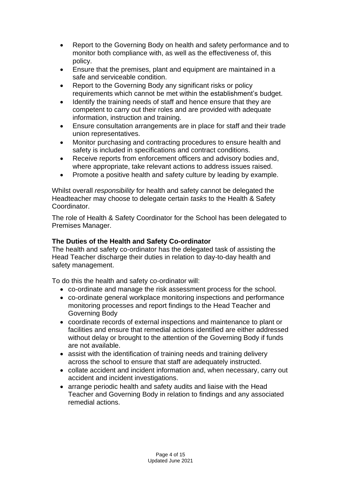- Report to the Governing Body on health and safety performance and to monitor both compliance with, as well as the effectiveness of, this policy.
- Ensure that the premises, plant and equipment are maintained in a safe and serviceable condition.
- Report to the Governing Body any significant risks or policy requirements which cannot be met within the establishment's budget.
- Identify the training needs of staff and hence ensure that they are competent to carry out their roles and are provided with adequate information, instruction and training.
- Ensure consultation arrangements are in place for staff and their trade union representatives.
- Monitor purchasing and contracting procedures to ensure health and safety is included in specifications and contract conditions.
- Receive reports from enforcement officers and advisory bodies and, where appropriate, take relevant actions to address issues raised.
- Promote a positive health and safety culture by leading by example.

Whilst overall *responsibility* for health and safety cannot be delegated the Headteacher may choose to delegate certain *tasks* to the Health & Safety **Coordinator** 

The role of Health & Safety Coordinator for the School has been delegated to Premises Manager.

# **The Duties of the Health and Safety Co-ordinator**

The health and safety co-ordinator has the delegated task of assisting the Head Teacher discharge their duties in relation to day-to-day health and safety management.

To do this the health and safety co-ordinator will:

- co-ordinate and manage the risk assessment process for the school.
- co-ordinate general workplace monitoring inspections and performance monitoring processes and report findings to the Head Teacher and Governing Body
- coordinate records of external inspections and maintenance to plant or facilities and ensure that remedial actions identified are either addressed without delay or brought to the attention of the Governing Body if funds are not available.
- assist with the identification of training needs and training delivery across the school to ensure that staff are adequately instructed.
- collate accident and incident information and, when necessary, carry out accident and incident investigations.
- arrange periodic health and safety audits and liaise with the Head Teacher and Governing Body in relation to findings and any associated remedial actions.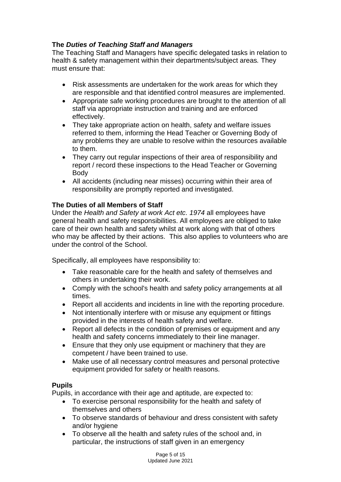# **The** *Duties of Teaching Staff and Managers*

The Teaching Staff and Managers have specific delegated tasks in relation to health & safety management within their departments/subject areas*.* They must ensure that:

- Risk assessments are undertaken for the work areas for which they are responsible and that identified control measures are implemented.
- Appropriate safe working procedures are brought to the attention of all staff via appropriate instruction and training and are enforced effectively.
- They take appropriate action on health, safety and welfare issues referred to them, informing the Head Teacher or Governing Body of any problems they are unable to resolve within the resources available to them.
- They carry out regular inspections of their area of responsibility and report / record these inspections to the Head Teacher or Governing Body
- All accidents (including near misses) occurring within their area of responsibility are promptly reported and investigated.

# **The Duties of all Members of Staff**

Under the *Health and Safety at work Act etc. 1974* all employees have general health and safety responsibilities. All employees are obliged to take care of their own health and safety whilst at work along with that of others who may be affected by their actions. This also applies to volunteers who are under the control of the School.

Specifically, all employees have responsibility to:

- Take reasonable care for the health and safety of themselves and others in undertaking their work.
- Comply with the school's health and safety policy arrangements at all times.
- Report all accidents and incidents in line with the reporting procedure.
- Not intentionally interfere with or misuse any equipment or fittings provided in the interests of health safety and welfare.
- Report all defects in the condition of premises or equipment and any health and safety concerns immediately to their line manager.
- Ensure that they only use equipment or machinery that they are competent / have been trained to use.
- Make use of all necessary control measures and personal protective equipment provided for safety or health reasons.

# **Pupils**

Pupils, in accordance with their age and aptitude, are expected to:

- To exercise personal responsibility for the health and safety of themselves and others
- To observe standards of behaviour and dress consistent with safety and/or hygiene
- To observe all the health and safety rules of the school and, in particular, the instructions of staff given in an emergency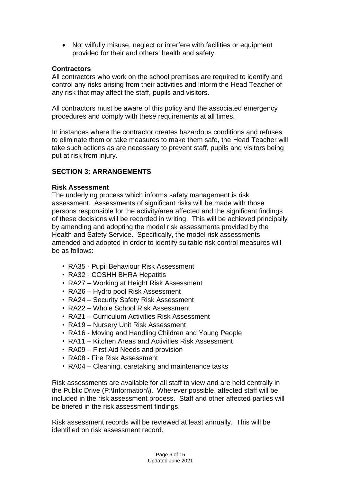• Not wilfully misuse, neglect or interfere with facilities or equipment provided for their and others' health and safety.

# **Contractors**

All contractors who work on the school premises are required to identify and control any risks arising from their activities and inform the Head Teacher of any risk that may affect the staff, pupils and visitors.

All contractors must be aware of this policy and the associated emergency procedures and comply with these requirements at all times.

In instances where the contractor creates hazardous conditions and refuses to eliminate them or take measures to make them safe, the Head Teacher will take such actions as are necessary to prevent staff, pupils and visitors being put at risk from injury.

# **SECTION 3: ARRANGEMENTS**

## **Risk Assessment**

The underlying process which informs safety management is risk assessment. Assessments of significant risks will be made with those persons responsible for the activity/area affected and the significant findings of these decisions will be recorded in writing. This will be achieved principally by amending and adopting the model risk assessments provided by the Health and Safety Service. Specifically, the model risk assessments amended and adopted in order to identify suitable risk control measures will be as follows:

- RA35 Pupil Behaviour Risk Assessment
- RA32 COSHH BHRA Hepatitis
- RA27 Working at Height Risk Assessment
- RA26 Hydro pool Risk Assessment
- RA24 Security Safety Risk Assessment
- RA22 Whole School Risk Assessment
- RA21 Curriculum Activities Risk Assessment
- RA19 Nursery Unit Risk Assessment
- RA16 Moving and Handling Children and Young People
- RA11 Kitchen Areas and Activities Risk Assessment
- RA09 First Aid Needs and provision
- RA08 Fire Risk Assessment
- RA04 Cleaning, caretaking and maintenance tasks

Risk assessments are available for all staff to view and are held centrally in the Public Drive (P:\Information\). Wherever possible, affected staff will be included in the risk assessment process. Staff and other affected parties will be briefed in the risk assessment findings.

Risk assessment records will be reviewed at least annually. This will be identified on risk assessment record.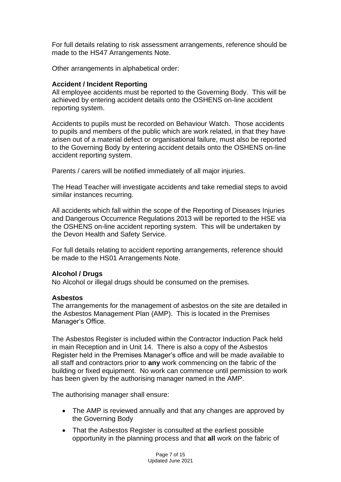For full details relating to risk assessment arrangements, reference should be made to the HS47 Arrangements Note.

Other arrangements in alphabetical order:

# **Accident / Incident Reporting**

All employee accidents must be reported to the Governing Body. This will be achieved by entering accident details onto the OSHENS on-line accident reporting system.

Accidents to pupils must be recorded on Behaviour Watch. Those accidents to pupils and members of the public which are work related, in that they have arisen out of a material defect or organisational failure, must also be reported to the Governing Body by entering accident details onto the OSHENS on-line accident reporting system.

Parents / carers will be notified immediately of all major injuries.

The Head Teacher will investigate accidents and take remedial steps to avoid similar instances recurring.

All accidents which fall within the scope of the Reporting of Diseases Injuries and Dangerous Occurrence Regulations 2013 will be reported to the HSE via the OSHENS on-line accident reporting system. This will be undertaken by the Devon Health and Safety Service.

For full details relating to accident reporting arrangements, reference should be made to the HS01 Arrangements Note.

# **Alcohol / Drugs**

No Alcohol or illegal drugs should be consumed on the premises.

#### **Asbestos**

The arrangements for the management of asbestos on the site are detailed in the Asbestos Management Plan (AMP). This is located in the Premises Manager's Office.

The Asbestos Register is included within the Contractor Induction Pack held in main Reception and in Unit 14. There is also a copy of the Asbestos Register held in the Premises Manager's office and will be made available to all staff and contractors prior to **any** work commencing on the fabric of the building or fixed equipment. No work can commence until permission to work has been given by the authorising manager named in the AMP.

The authorising manager shall ensure:

- The AMP is reviewed annually and that any changes are approved by the Governing Body
- That the Asbestos Register is consulted at the earliest possible opportunity in the planning process and that **all** work on the fabric of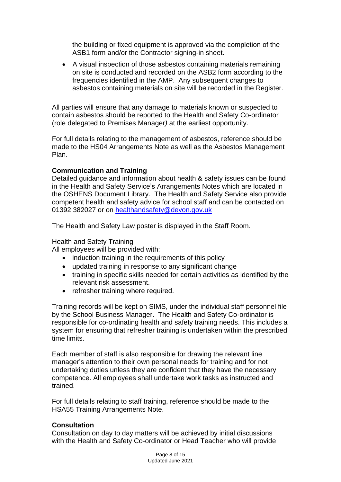the building or fixed equipment is approved via the completion of the ASB1 form and/or the Contractor signing-in sheet.

• A visual inspection of those asbestos containing materials remaining on site is conducted and recorded on the ASB2 form according to the frequencies identified in the AMP. Any subsequent changes to asbestos containing materials on site will be recorded in the Register.

All parties will ensure that any damage to materials known or suspected to contain asbestos should be reported to the Health and Safety Co-ordinator (role delegated to Premises Manager*)* at the earliest opportunity.

For full details relating to the management of asbestos, reference should be made to the HS04 Arrangements Note as well as the Asbestos Management Plan.

# **Communication and Training**

Detailed guidance and information about health & safety issues can be found in the Health and Safety Service's Arrangements Notes which are located in the OSHENS Document Library. The Health and Safety Service also provide competent health and safety advice for school staff and can be contacted on 01392 382027 or on [healthandsafety@devon.gov.uk](mailto:healthandsafety@devon.gov.uk)

The Health and Safety Law poster is displayed in the Staff Room.

# Health and Safety Training

All employees will be provided with:

- induction training in the requirements of this policy
- updated training in response to any significant change
- training in specific skills needed for certain activities as identified by the relevant risk assessment.
- refresher training where required.

Training records will be kept on SIMS, under the individual staff personnel file by the School Business Manager. The Health and Safety Co-ordinator is responsible for co-ordinating health and safety training needs. This includes a system for ensuring that refresher training is undertaken within the prescribed time limits.

Each member of staff is also responsible for drawing the relevant line manager's attention to their own personal needs for training and for not undertaking duties unless they are confident that they have the necessary competence. All employees shall undertake work tasks as instructed and trained.

For full details relating to staff training, reference should be made to the HSA55 Training Arrangements Note.

#### **Consultation**

Consultation on day to day matters will be achieved by initial discussions with the Health and Safety Co-ordinator or Head Teacher who will provide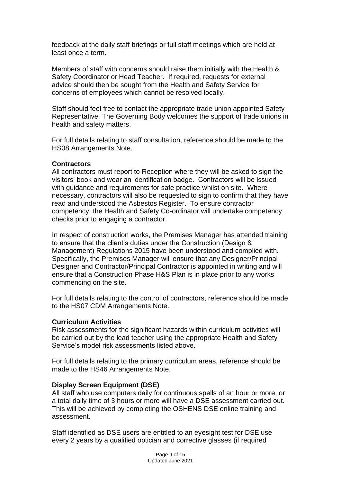feedback at the daily staff briefings or full staff meetings which are held at least once a term.

Members of staff with concerns should raise them initially with the Health & Safety Coordinator or Head Teacher. If required, requests for external advice should then be sought from the Health and Safety Service for concerns of employees which cannot be resolved locally.

Staff should feel free to contact the appropriate trade union appointed Safety Representative. The Governing Body welcomes the support of trade unions in health and safety matters.

For full details relating to staff consultation, reference should be made to the HS08 Arrangements Note.

#### **Contractors**

All contractors must report to Reception where they will be asked to sign the visitors' book and wear an identification badge. Contractors will be issued with quidance and requirements for safe practice whilst on site. Where necessary, contractors will also be requested to sign to confirm that they have read and understood the Asbestos Register. To ensure contractor competency, the Health and Safety Co-ordinator will undertake competency checks prior to engaging a contractor.

In respect of construction works, the Premises Manager has attended training to ensure that the client's duties under the Construction (Design & Management) Regulations 2015 have been understood and complied with. Specifically, the Premises Manager will ensure that any Designer/Principal Designer and Contractor/Principal Contractor is appointed in writing and will ensure that a Construction Phase H&S Plan is in place prior to any works commencing on the site.

For full details relating to the control of contractors, reference should be made to the HS07 CDM Arrangements Note.

#### **Curriculum Activities**

Risk assessments for the significant hazards within curriculum activities will be carried out by the lead teacher using the appropriate Health and Safety Service's model risk assessments listed above.

For full details relating to the primary curriculum areas, reference should be made to the HS46 Arrangements Note.

#### **Display Screen Equipment (DSE)**

All staff who use computers daily for continuous spells of an hour or more, or a total daily time of 3 hours or more will have a DSE assessment carried out. This will be achieved by completing the OSHENS DSE online training and assessment.

Staff identified as DSE users are entitled to an eyesight test for DSE use every 2 years by a qualified optician and corrective glasses (if required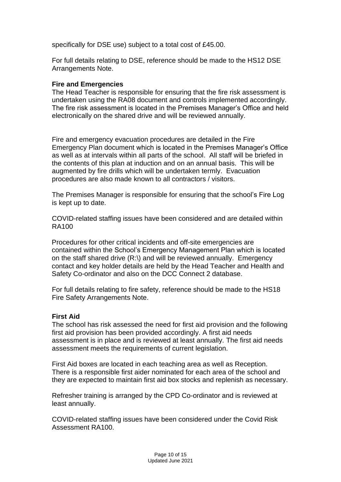specifically for DSE use) subject to a total cost of £45.00.

For full details relating to DSE, reference should be made to the HS12 DSE Arrangements Note.

#### **Fire and Emergencies**

The Head Teacher is responsible for ensuring that the fire risk assessment is undertaken using the RA08 document and controls implemented accordingly. The fire risk assessment is located in the Premises Manager's Office and held electronically on the shared drive and will be reviewed annually.

Fire and emergency evacuation procedures are detailed in the Fire Emergency Plan document which is located in the Premises Manager's Office as well as at intervals within all parts of the school. All staff will be briefed in the contents of this plan at induction and on an annual basis. This will be augmented by fire drills which will be undertaken termly. Evacuation procedures are also made known to all contractors / visitors.

The Premises Manager is responsible for ensuring that the school's Fire Log is kept up to date.

COVID-related staffing issues have been considered and are detailed within RA100

Procedures for other critical incidents and off-site emergencies are contained within the School's Emergency Management Plan which is located on the staff shared drive (R:\) and will be reviewed annually. Emergency contact and key holder details are held by the Head Teacher and Health and Safety Co-ordinator and also on the DCC Connect 2 database.

For full details relating to fire safety, reference should be made to the HS18 Fire Safety Arrangements Note.

#### **First Aid**

The school has risk assessed the need for first aid provision and the following first aid provision has been provided accordingly. A first aid needs assessment is in place and is reviewed at least annually. The first aid needs assessment meets the requirements of current legislation.

First Aid boxes are located in each teaching area as well as Reception. There is a responsible first aider nominated for each area of the school and they are expected to maintain first aid box stocks and replenish as necessary.

Refresher training is arranged by the CPD Co-ordinator and is reviewed at least annually.

COVID-related staffing issues have been considered under the Covid Risk Assessment RA100.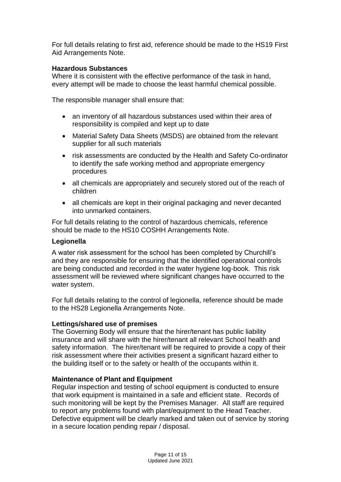For full details relating to first aid, reference should be made to the HS19 First Aid Arrangements Note.

# **Hazardous Substances**

Where it is consistent with the effective performance of the task in hand, every attempt will be made to choose the least harmful chemical possible.

The responsible manager shall ensure that:

- an inventory of all hazardous substances used within their area of responsibility is compiled and kept up to date
- Material Safety Data Sheets (MSDS) are obtained from the relevant supplier for all such materials
- risk assessments are conducted by the Health and Safety Co-ordinator to identify the safe working method and appropriate emergency procedures
- all chemicals are appropriately and securely stored out of the reach of children
- all chemicals are kept in their original packaging and never decanted into unmarked containers.

For full details relating to the control of hazardous chemicals, reference should be made to the HS10 COSHH Arrangements Note.

# **Legionella**

A water risk assessment for the school has been completed by Churchill's and they are responsible for ensuring that the identified operational controls are being conducted and recorded in the water hygiene log-book. This risk assessment will be reviewed where significant changes have occurred to the water system.

For full details relating to the control of legionella, reference should be made to the HS28 Legionella Arrangements Note.

#### **Lettings/shared use of premises**

The Governing Body will ensure that the hirer/tenant has public liability insurance and will share with the hirer/tenant all relevant School health and safety information. The hirer/tenant will be required to provide a copy of their risk assessment where their activities present a significant hazard either to the building itself or to the safety or health of the occupants within it.

# **Maintenance of Plant and Equipment**

Regular inspection and testing of school equipment is conducted to ensure that work equipment is maintained in a safe and efficient state. Records of such monitoring will be kept by the Premises Manager. All staff are required to report any problems found with plant/equipment to the Head Teacher. Defective equipment will be clearly marked and taken out of service by storing in a secure location pending repair / disposal.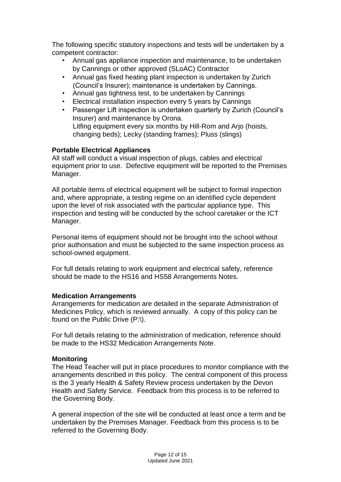The following specific statutory inspections and tests will be undertaken by a competent contractor:

- Annual gas appliance inspection and maintenance, to be undertaken by Cannings or other approved (SLoAC) Contractor
- Annual gas fixed heating plant inspection is undertaken by Zurich (Council's Insurer); maintenance is undertaken by Cannings.
- Annual gas tightness test, to be undertaken by Cannings
- Electrical installation inspection every 5 years by Cannings
- Passenger Lift inspection is undertaken quarterly by Zurich (Council's Insurer) and maintenance by Orona. Litfing equipment every six months by Hill-Rom and Arjo (hoists, changing beds); Lecky (standing frames); Pluss (slings)

# **Portable Electrical Appliances**

All staff will conduct a visual inspection of plugs, cables and electrical equipment prior to use. Defective equipment will be reported to the Premises Manager.

All portable items of electrical equipment will be subject to formal inspection and, where appropriate, a testing regime on an identified cycle dependent upon the level of risk associated with the particular appliance type. This inspection and testing will be conducted by the school caretaker or the ICT Manager.

Personal items of equipment should not be brought into the school without prior authorisation and must be subjected to the same inspection process as school-owned equipment.

For full details relating to work equipment and electrical safety, reference should be made to the HS16 and HS58 Arrangements Notes.

# **Medication Arrangements**

Arrangements for medication are detailed in the separate Administration of Medicines Policy, which is reviewed annually. A copy of this policy can be found on the Public Drive (P:\).

For full details relating to the administration of medication, reference should be made to the HS32 Medication Arrangements Note.

# **Monitoring**

The Head Teacher will put in place procedures to monitor compliance with the arrangements described in this policy. The central component of this process is the 3 yearly Health & Safety Review process undertaken by the Devon Health and Safety Service. Feedback from this process is to be referred to the Governing Body.

A general inspection of the site will be conducted at least once a term and be undertaken by the Premises Manager*.* Feedback from this process is to be referred to the Governing Body.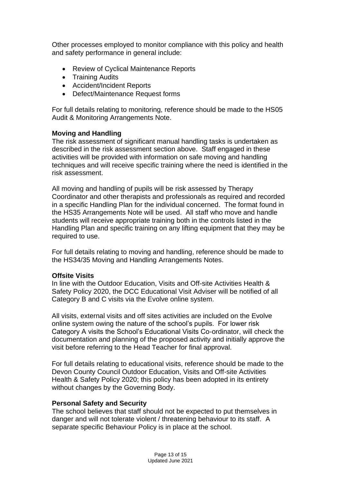Other processes employed to monitor compliance with this policy and health and safety performance in general include:

- Review of Cyclical Maintenance Reports
- Training Audits
- Accident/Incident Reports
- Defect/Maintenance Request forms

For full details relating to monitoring, reference should be made to the HS05 Audit & Monitoring Arrangements Note.

## **Moving and Handling**

The risk assessment of significant manual handling tasks is undertaken as described in the risk assessment section above. Staff engaged in these activities will be provided with information on safe moving and handling techniques and will receive specific training where the need is identified in the risk assessment.

All moving and handling of pupils will be risk assessed by Therapy Coordinator and other therapists and professionals as required and recorded in a specific Handling Plan for the individual concerned.The format found in the HS35 Arrangements Note will be used. All staff who move and handle students will receive appropriate training both in the controls listed in the Handling Plan and specific training on any lifting equipment that they may be required to use.

For full details relating to moving and handling, reference should be made to the HS34/35 Moving and Handling Arrangements Notes.

#### **Offsite Visits**

In line with the Outdoor Education, Visits and Off-site Activities Health & Safety Policy 2020, the DCC Educational Visit Adviser will be notified of all Category B and C visits via the Evolve online system.

All visits, external visits and off sites activities are included on the Evolve online system owing the nature of the school's pupils. For lower risk Category A visits the School's Educational Visits Co-ordinator, will check the documentation and planning of the proposed activity and initially approve the visit before referring to the Head Teacher for final approval.

For full details relating to educational visits, reference should be made to the Devon County Council Outdoor Education, Visits and Off-site Activities Health & Safety Policy 2020; this policy has been adopted in its entirety without changes by the Governing Body.

#### **Personal Safety and Security**

The school believes that staff should not be expected to put themselves in danger and will not tolerate violent / threatening behaviour to its staff. A separate specific Behaviour Policy is in place at the school.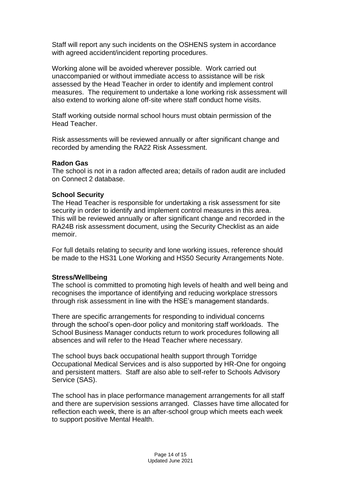Staff will report any such incidents on the OSHENS system in accordance with agreed accident/incident reporting procedures.

Working alone will be avoided wherever possible. Work carried out unaccompanied or without immediate access to assistance will be risk assessed by the Head Teacher in order to identify and implement control measures. The requirement to undertake a lone working risk assessment will also extend to working alone off-site where staff conduct home visits.

Staff working outside normal school hours must obtain permission of the Head Teacher.

Risk assessments will be reviewed annually or after significant change and recorded by amending the RA22 Risk Assessment.

#### **Radon Gas**

The school is not in a radon affected area; details of radon audit are included on Connect 2 database.

#### **School Security**

The Head Teacher is responsible for undertaking a risk assessment for site security in order to identify and implement control measures in this area. This will be reviewed annually or after significant change and recorded in the RA24B risk assessment document, using the Security Checklist as an aide memoir.

For full details relating to security and lone working issues, reference should be made to the HS31 Lone Working and HS50 Security Arrangements Note.

#### **Stress/Wellbeing**

The school is committed to promoting high levels of health and well being and recognises the importance of identifying and reducing workplace stressors through risk assessment in line with the HSE's management standards.

There are specific arrangements for responding to individual concerns through the school's open-door policy and monitoring staff workloads. The School Business Manager conducts return to work procedures following all absences and will refer to the Head Teacher where necessary.

The school buys back occupational health support through Torridge Occupational Medical Services and is also supported by HR-One for ongoing and persistent matters. Staff are also able to self-refer to Schools Advisory Service (SAS).

The school has in place performance management arrangements for all staff and there are supervision sessions arranged. Classes have time allocated for reflection each week, there is an after-school group which meets each week to support positive Mental Health.